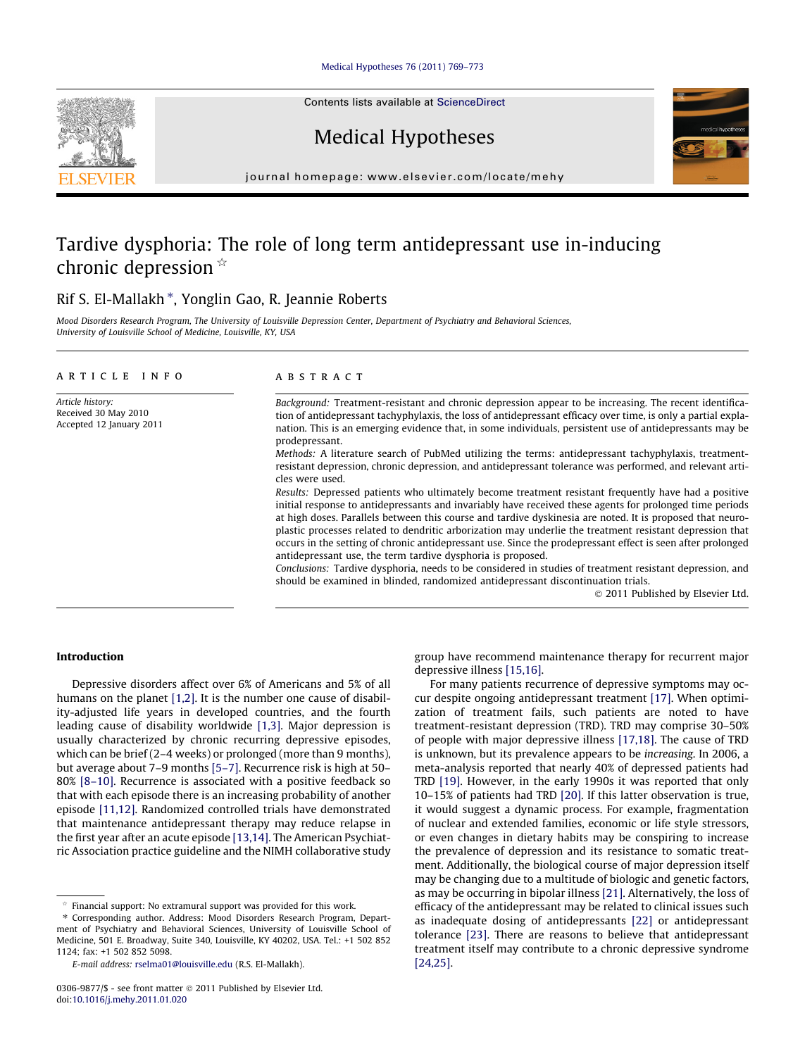[Medical Hypotheses 76 \(2011\) 769–773](http://dx.doi.org/10.1016/j.mehy.2011.01.020)



Contents lists available at [ScienceDirect](http://www.sciencedirect.com/science/journal/03069877)

# Medical Hypotheses



journal homepage: [www.elsevier.com/locate/mehy](http://www.elsevier.com/locate/mehy)

# Tardive dysphoria: The role of long term antidepressant use in-inducing chronic depression  $\mathbb{R}$

# Rif S. El-Mallakh \*, Yonglin Gao, R. Jeannie Roberts

Mood Disorders Research Program, The University of Louisville Depression Center, Department of Psychiatry and Behavioral Sciences, University of Louisville School of Medicine, Louisville, KY, USA

#### article info

Article history: Received 30 May 2010 Accepted 12 January 2011

## ABSTRACT

Background: Treatment-resistant and chronic depression appear to be increasing. The recent identification of antidepressant tachyphylaxis, the loss of antidepressant efficacy over time, is only a partial explanation. This is an emerging evidence that, in some individuals, persistent use of antidepressants may be prodepressant.

Methods: A literature search of PubMed utilizing the terms: antidepressant tachyphylaxis, treatmentresistant depression, chronic depression, and antidepressant tolerance was performed, and relevant articles were used.

Results: Depressed patients who ultimately become treatment resistant frequently have had a positive initial response to antidepressants and invariably have received these agents for prolonged time periods at high doses. Parallels between this course and tardive dyskinesia are noted. It is proposed that neuroplastic processes related to dendritic arborization may underlie the treatment resistant depression that occurs in the setting of chronic antidepressant use. Since the prodepressant effect is seen after prolonged antidepressant use, the term tardive dysphoria is proposed.

Conclusions: Tardive dysphoria, needs to be considered in studies of treatment resistant depression, and should be examined in blinded, randomized antidepressant discontinuation trials.

© 2011 Published by Elsevier Ltd.

#### Introduction

Depressive disorders affect over 6% of Americans and 5% of all humans on the planet [\[1,2\]](#page-3-0). It is the number one cause of disability-adjusted life years in developed countries, and the fourth leading cause of disability worldwide [\[1,3\].](#page-3-0) Major depression is usually characterized by chronic recurring depressive episodes, which can be brief (2–4 weeks) or prolonged (more than 9 months), but average about 7–9 months [\[5–7\]](#page-3-0). Recurrence risk is high at 50– 80% [\[8–10\]](#page-3-0). Recurrence is associated with a positive feedback so that with each episode there is an increasing probability of another episode [\[11,12\]](#page-3-0). Randomized controlled trials have demonstrated that maintenance antidepressant therapy may reduce relapse in the first year after an acute episode [\[13,14\].](#page-3-0) The American Psychiatric Association practice guideline and the NIMH collaborative study

group have recommend maintenance therapy for recurrent major depressive illness [\[15,16\].](#page-3-0)

For many patients recurrence of depressive symptoms may occur despite ongoing antidepressant treatment [\[17\]](#page-3-0). When optimization of treatment fails, such patients are noted to have treatment-resistant depression (TRD). TRD may comprise 30–50% of people with major depressive illness [\[17,18\].](#page-3-0) The cause of TRD is unknown, but its prevalence appears to be increasing. In 2006, a meta-analysis reported that nearly 40% of depressed patients had TRD [\[19\].](#page-3-0) However, in the early 1990s it was reported that only 10–15% of patients had TRD [\[20\].](#page-3-0) If this latter observation is true, it would suggest a dynamic process. For example, fragmentation of nuclear and extended families, economic or life style stressors, or even changes in dietary habits may be conspiring to increase the prevalence of depression and its resistance to somatic treatment. Additionally, the biological course of major depression itself may be changing due to a multitude of biologic and genetic factors, as may be occurring in bipolar illness [\[21\].](#page-3-0) Alternatively, the loss of efficacy of the antidepressant may be related to clinical issues such as inadequate dosing of antidepressants [\[22\]](#page-3-0) or antidepressant tolerance [\[23\].](#page-3-0) There are reasons to believe that antidepressant treatment itself may contribute to a chronic depressive syndrome [\[24,25\]](#page-3-0).

Financial support: No extramural support was provided for this work.

<sup>⇑</sup> Corresponding author. Address: Mood Disorders Research Program, Department of Psychiatry and Behavioral Sciences, University of Louisville School of Medicine, 501 E. Broadway, Suite 340, Louisville, KY 40202, USA. Tel.: +1 502 852 1124; fax: +1 502 852 5098.

E-mail address: [rselma01@louisville.edu](mailto:rselma01@louisville.edu) (R.S. El-Mallakh).

<sup>0306-9877/\$ -</sup> see front matter © 2011 Published by Elsevier Ltd. doi[:10.1016/j.mehy.2011.01.020](http://dx.doi.org/10.1016/j.mehy.2011.01.020)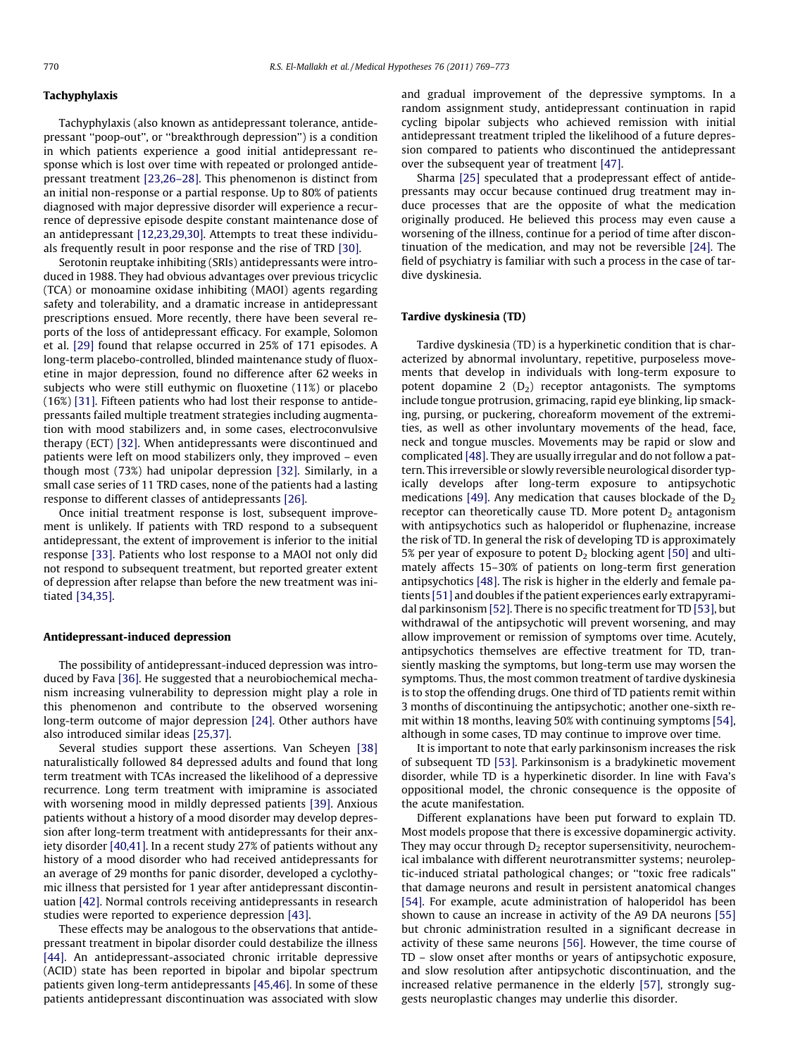## Tachyphylaxis

Tachyphylaxis (also known as antidepressant tolerance, antidepressant ''poop-out'', or ''breakthrough depression'') is a condition in which patients experience a good initial antidepressant response which is lost over time with repeated or prolonged antidepressant treatment [\[23,26–28\]](#page-3-0). This phenomenon is distinct from an initial non-response or a partial response. Up to 80% of patients diagnosed with major depressive disorder will experience a recurrence of depressive episode despite constant maintenance dose of an antidepressant [\[12,23,29,30\].](#page-3-0) Attempts to treat these individuals frequently result in poor response and the rise of TRD [\[30\].](#page-3-0)

Serotonin reuptake inhibiting (SRIs) antidepressants were introduced in 1988. They had obvious advantages over previous tricyclic (TCA) or monoamine oxidase inhibiting (MAOI) agents regarding safety and tolerability, and a dramatic increase in antidepressant prescriptions ensued. More recently, there have been several reports of the loss of antidepressant efficacy. For example, Solomon et al. [\[29\]](#page-3-0) found that relapse occurred in 25% of 171 episodes. A long-term placebo-controlled, blinded maintenance study of fluoxetine in major depression, found no difference after 62 weeks in subjects who were still euthymic on fluoxetine (11%) or placebo (16%) [\[31\]](#page-3-0). Fifteen patients who had lost their response to antidepressants failed multiple treatment strategies including augmentation with mood stabilizers and, in some cases, electroconvulsive therapy (ECT) [\[32\]](#page-3-0). When antidepressants were discontinued and patients were left on mood stabilizers only, they improved – even though most (73%) had unipolar depression [\[32\]](#page-3-0). Similarly, in a small case series of 11 TRD cases, none of the patients had a lasting response to different classes of antidepressants [\[26\].](#page-3-0)

Once initial treatment response is lost, subsequent improvement is unlikely. If patients with TRD respond to a subsequent antidepressant, the extent of improvement is inferior to the initial response [\[33\].](#page-3-0) Patients who lost response to a MAOI not only did not respond to subsequent treatment, but reported greater extent of depression after relapse than before the new treatment was initiated [\[34,35\]](#page-3-0).

#### Antidepressant-induced depression

The possibility of antidepressant-induced depression was introduced by Fava [\[36\]](#page-3-0). He suggested that a neurobiochemical mechanism increasing vulnerability to depression might play a role in this phenomenon and contribute to the observed worsening long-term outcome of major depression [\[24\].](#page-3-0) Other authors have also introduced similar ideas [\[25,37\]](#page-3-0).

Several studies support these assertions. Van Scheyen [\[38\]](#page-3-0) naturalistically followed 84 depressed adults and found that long term treatment with TCAs increased the likelihood of a depressive recurrence. Long term treatment with imipramine is associated with worsening mood in mildly depressed patients [\[39\]](#page-3-0). Anxious patients without a history of a mood disorder may develop depression after long-term treatment with antidepressants for their anxiety disorder [\[40,41\]](#page-3-0). In a recent study 27% of patients without any history of a mood disorder who had received antidepressants for an average of 29 months for panic disorder, developed a cyclothymic illness that persisted for 1 year after antidepressant discontinuation [\[42\].](#page-3-0) Normal controls receiving antidepressants in research studies were reported to experience depression [\[43\].](#page-3-0)

These effects may be analogous to the observations that antidepressant treatment in bipolar disorder could destabilize the illness [\[44\]](#page-3-0). An antidepressant-associated chronic irritable depressive (ACID) state has been reported in bipolar and bipolar spectrum patients given long-term antidepressants [\[45,46\]](#page-3-0). In some of these patients antidepressant discontinuation was associated with slow

and gradual improvement of the depressive symptoms. In a random assignment study, antidepressant continuation in rapid cycling bipolar subjects who achieved remission with initial antidepressant treatment tripled the likelihood of a future depression compared to patients who discontinued the antidepressant over the subsequent year of treatment [\[47\].](#page-3-0)

Sharma [\[25\]](#page-3-0) speculated that a prodepressant effect of antidepressants may occur because continued drug treatment may induce processes that are the opposite of what the medication originally produced. He believed this process may even cause a worsening of the illness, continue for a period of time after discontinuation of the medication, and may not be reversible [\[24\].](#page-3-0) The field of psychiatry is familiar with such a process in the case of tardive dyskinesia.

#### Tardive dyskinesia (TD)

Tardive dyskinesia (TD) is a hyperkinetic condition that is characterized by abnormal involuntary, repetitive, purposeless movements that develop in individuals with long-term exposure to potent dopamine 2  $(D_2)$  receptor antagonists. The symptoms include tongue protrusion, grimacing, rapid eye blinking, lip smacking, pursing, or puckering, choreaform movement of the extremities, as well as other involuntary movements of the head, face, neck and tongue muscles. Movements may be rapid or slow and complicated [\[48\].](#page-3-0) They are usually irregular and do not follow a pattern. This irreversible or slowly reversible neurological disorder typically develops after long-term exposure to antipsychotic medications [\[49\]](#page-3-0). Any medication that causes blockade of the  $D_2$ receptor can theoretically cause TD. More potent  $D_2$  antagonism with antipsychotics such as haloperidol or fluphenazine, increase the risk of TD. In general the risk of developing TD is approximately 5% per year of exposure to potent  $D_2$  blocking agent [\[50\]](#page-3-0) and ultimately affects 15–30% of patients on long-term first generation antipsychotics [\[48\].](#page-3-0) The risk is higher in the elderly and female patients [\[51\]](#page-3-0) and doubles if the patient experiences early extrapyramidal parkinsonism [\[52\]](#page-3-0). There is no specific treatment for TD [\[53\],](#page-3-0) but withdrawal of the antipsychotic will prevent worsening, and may allow improvement or remission of symptoms over time. Acutely, antipsychotics themselves are effective treatment for TD, transiently masking the symptoms, but long-term use may worsen the symptoms. Thus, the most common treatment of tardive dyskinesia is to stop the offending drugs. One third of TD patients remit within 3 months of discontinuing the antipsychotic; another one-sixth remit within 18 months, leaving 50% with continuing symptoms [\[54\],](#page-3-0) although in some cases, TD may continue to improve over time.

It is important to note that early parkinsonism increases the risk of subsequent TD [\[53\].](#page-3-0) Parkinsonism is a bradykinetic movement disorder, while TD is a hyperkinetic disorder. In line with Fava's oppositional model, the chronic consequence is the opposite of the acute manifestation.

Different explanations have been put forward to explain TD. Most models propose that there is excessive dopaminergic activity. They may occur through  $D_2$  receptor supersensitivity, neurochemical imbalance with different neurotransmitter systems; neuroleptic-induced striatal pathological changes; or ''toxic free radicals'' that damage neurons and result in persistent anatomical changes [\[54\]](#page-3-0). For example, acute administration of haloperidol has been shown to cause an increase in activity of the A9 DA neurons [\[55\]](#page-3-0) but chronic administration resulted in a significant decrease in activity of these same neurons [\[56\]](#page-3-0). However, the time course of TD – slow onset after months or years of antipsychotic exposure, and slow resolution after antipsychotic discontinuation, and the increased relative permanence in the elderly [\[57\]](#page-3-0), strongly suggests neuroplastic changes may underlie this disorder.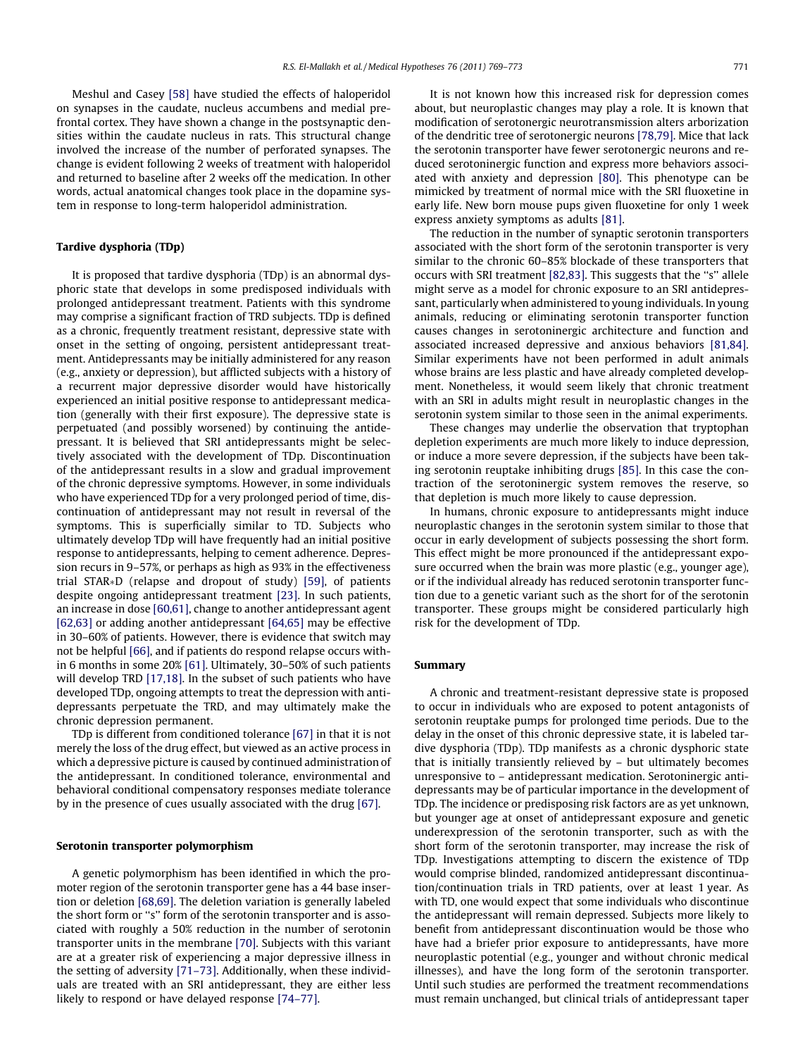Meshul and Casey [\[58\]](#page-3-0) have studied the effects of haloperidol on synapses in the caudate, nucleus accumbens and medial prefrontal cortex. They have shown a change in the postsynaptic densities within the caudate nucleus in rats. This structural change involved the increase of the number of perforated synapses. The change is evident following 2 weeks of treatment with haloperidol and returned to baseline after 2 weeks off the medication. In other words, actual anatomical changes took place in the dopamine system in response to long-term haloperidol administration.

# Tardive dysphoria (TDp)

It is proposed that tardive dysphoria (TDp) is an abnormal dysphoric state that develops in some predisposed individuals with prolonged antidepressant treatment. Patients with this syndrome may comprise a significant fraction of TRD subjects. TDp is defined as a chronic, frequently treatment resistant, depressive state with onset in the setting of ongoing, persistent antidepressant treatment. Antidepressants may be initially administered for any reason (e.g., anxiety or depression), but afflicted subjects with a history of a recurrent major depressive disorder would have historically experienced an initial positive response to antidepressant medication (generally with their first exposure). The depressive state is perpetuated (and possibly worsened) by continuing the antidepressant. It is believed that SRI antidepressants might be selectively associated with the development of TDp. Discontinuation of the antidepressant results in a slow and gradual improvement of the chronic depressive symptoms. However, in some individuals who have experienced TDp for a very prolonged period of time, discontinuation of antidepressant may not result in reversal of the symptoms. This is superficially similar to TD. Subjects who ultimately develop TDp will have frequently had an initial positive response to antidepressants, helping to cement adherence. Depression recurs in 9–57%, or perhaps as high as 93% in the effectiveness trial STAR-D (relapse and dropout of study) [\[59\],](#page-3-0) of patients despite ongoing antidepressant treatment [\[23\].](#page-3-0) In such patients, an increase in dose [\[60,61\],](#page-3-0) change to another antidepressant agent [\[62,63\]](#page-4-0) or adding another antidepressant [\[64,65\]](#page-4-0) may be effective in 30–60% of patients. However, there is evidence that switch may not be helpful [\[66\],](#page-4-0) and if patients do respond relapse occurs within 6 months in some 20% [\[61\]](#page-4-0). Ultimately, 30–50% of such patients will develop TRD [\[17,18\].](#page-3-0) In the subset of such patients who have developed TDp, ongoing attempts to treat the depression with antidepressants perpetuate the TRD, and may ultimately make the chronic depression permanent.

TDp is different from conditioned tolerance [\[67\]](#page-4-0) in that it is not merely the loss of the drug effect, but viewed as an active process in which a depressive picture is caused by continued administration of the antidepressant. In conditioned tolerance, environmental and behavioral conditional compensatory responses mediate tolerance by in the presence of cues usually associated with the drug [\[67\]](#page-4-0).

## Serotonin transporter polymorphism

A genetic polymorphism has been identified in which the promoter region of the serotonin transporter gene has a 44 base insertion or deletion [\[68,69\]](#page-4-0). The deletion variation is generally labeled the short form or ''s'' form of the serotonin transporter and is associated with roughly a 50% reduction in the number of serotonin transporter units in the membrane [\[70\]](#page-4-0). Subjects with this variant are at a greater risk of experiencing a major depressive illness in the setting of adversity [\[71–73\]](#page-4-0). Additionally, when these individuals are treated with an SRI antidepressant, they are either less likely to respond or have delayed response [\[74–77\]](#page-4-0).

It is not known how this increased risk for depression comes about, but neuroplastic changes may play a role. It is known that modification of serotonergic neurotransmission alters arborization of the dendritic tree of serotonergic neurons [\[78,79\].](#page-4-0) Mice that lack the serotonin transporter have fewer serotonergic neurons and reduced serotoninergic function and express more behaviors associated with anxiety and depression [\[80\]](#page-4-0). This phenotype can be mimicked by treatment of normal mice with the SRI fluoxetine in early life. New born mouse pups given fluoxetine for only 1 week express anxiety symptoms as adults [\[81\]](#page-4-0).

The reduction in the number of synaptic serotonin transporters associated with the short form of the serotonin transporter is very similar to the chronic 60–85% blockade of these transporters that occurs with SRI treatment [\[82,83\]](#page-4-0). This suggests that the "s" allele might serve as a model for chronic exposure to an SRI antidepressant, particularly when administered to young individuals. In young animals, reducing or eliminating serotonin transporter function causes changes in serotoninergic architecture and function and associated increased depressive and anxious behaviors [\[81,84\].](#page-4-0) Similar experiments have not been performed in adult animals whose brains are less plastic and have already completed development. Nonetheless, it would seem likely that chronic treatment with an SRI in adults might result in neuroplastic changes in the serotonin system similar to those seen in the animal experiments.

These changes may underlie the observation that tryptophan depletion experiments are much more likely to induce depression, or induce a more severe depression, if the subjects have been taking serotonin reuptake inhibiting drugs [\[85\]](#page-4-0). In this case the contraction of the serotoninergic system removes the reserve, so that depletion is much more likely to cause depression.

In humans, chronic exposure to antidepressants might induce neuroplastic changes in the serotonin system similar to those that occur in early development of subjects possessing the short form. This effect might be more pronounced if the antidepressant exposure occurred when the brain was more plastic (e.g., younger age), or if the individual already has reduced serotonin transporter function due to a genetic variant such as the short for of the serotonin transporter. These groups might be considered particularly high risk for the development of TDp.

# Summary

A chronic and treatment-resistant depressive state is proposed to occur in individuals who are exposed to potent antagonists of serotonin reuptake pumps for prolonged time periods. Due to the delay in the onset of this chronic depressive state, it is labeled tardive dysphoria (TDp). TDp manifests as a chronic dysphoric state that is initially transiently relieved by – but ultimately becomes unresponsive to – antidepressant medication. Serotoninergic antidepressants may be of particular importance in the development of TDp. The incidence or predisposing risk factors are as yet unknown, but younger age at onset of antidepressant exposure and genetic underexpression of the serotonin transporter, such as with the short form of the serotonin transporter, may increase the risk of TDp. Investigations attempting to discern the existence of TDp would comprise blinded, randomized antidepressant discontinuation/continuation trials in TRD patients, over at least 1 year. As with TD, one would expect that some individuals who discontinue the antidepressant will remain depressed. Subjects more likely to benefit from antidepressant discontinuation would be those who have had a briefer prior exposure to antidepressants, have more neuroplastic potential (e.g., younger and without chronic medical illnesses), and have the long form of the serotonin transporter. Until such studies are performed the treatment recommendations must remain unchanged, but clinical trials of antidepressant taper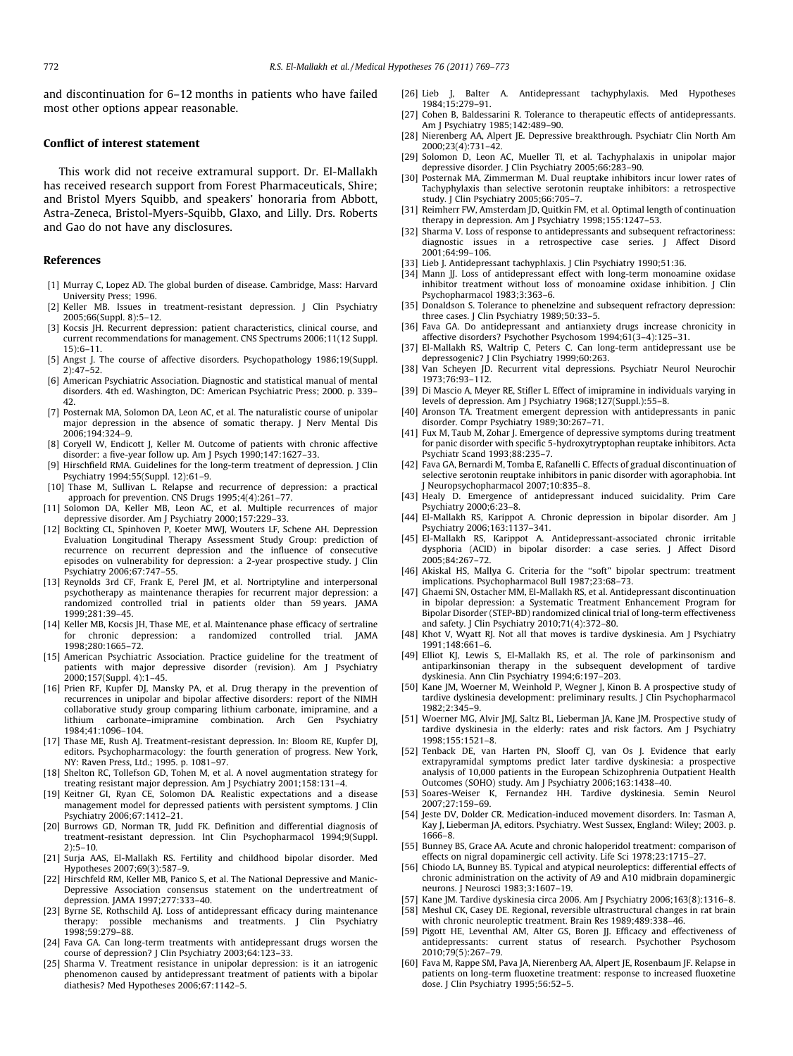<span id="page-3-0"></span>and discontinuation for 6–12 months in patients who have failed most other options appear reasonable.

#### Conflict of interest statement

This work did not receive extramural support. Dr. El-Mallakh has received research support from Forest Pharmaceuticals, Shire; and Bristol Myers Squibb, and speakers' honoraria from Abbott, Astra-Zeneca, Bristol-Myers-Squibb, Glaxo, and Lilly. Drs. Roberts and Gao do not have any disclosures.

#### References

- [1] Murray C, Lopez AD. The global burden of disease. Cambridge, Mass: Harvard University Press; 1996.
- [2] Keller MB. Issues in treatment-resistant depression. J Clin Psychiatry 2005;66(Suppl. 8):5–12.
- [3] Kocsis JH. Recurrent depression: patient characteristics, clinical course, and current recommendations for management. CNS Spectrums 2006;11(12 Suppl. 15):6–11.
- [5] Angst J. The course of affective disorders. Psychopathology 1986;19(Suppl. 2):47–52.
- [6] American Psychiatric Association. Diagnostic and statistical manual of mental disorders. 4th ed. Washington, DC: American Psychiatric Press; 2000. p. 339– 42.
- [7] Posternak MA, Solomon DA, Leon AC, et al. The naturalistic course of unipolar major depression in the absence of somatic therapy. J Nerv Mental Dis 2006;194:324–9.
- [8] Coryell W, Endicott J, Keller M. Outcome of patients with chronic affective disorder: a five-year follow up. Am J Psych 1990;147:1627–33.
- [9] Hirschfield RMA. Guidelines for the long-term treatment of depression. J Clin Psychiatry 1994;55(Suppl. 12):61–9.
- [10] Thase M, Sullivan L. Relapse and recurrence of depression: a practical approach for prevention. CNS Drugs 1995;4(4):261–77.
- [11] Solomon DA, Keller MB, Leon AC, et al. Multiple recurrences of major depressive disorder. Am J Psychiatry 2000;157:229–33.
- [12] Bockting CL, Spinhoven P, Koeter MWJ, Wouters LF, Schene AH. Depression Evaluation Longitudinal Therapy Assessment Study Group: prediction of recurrence on recurrent depression and the influence of consecutive episodes on vulnerability for depression: a 2-year prospective study. J Clin Psychiatry 2006;67:747–55.
- [13] Reynolds 3rd CF, Frank E, Perel JM, et al. Nortriptyline and interpersonal psychotherapy as maintenance therapies for recurrent major depression: a randomized controlled trial in patients older than 59 years. JAMA 1999;281:39–45.
- [14] Keller MB, Kocsis JH, Thase ME, et al. Maintenance phase efficacy of sertraline for chronic depression: a randomized controlled trial. JAMA 1998;280:1665–72.
- [15] American Psychiatric Association. Practice guideline for the treatment of patients with major depressive disorder (revision). Am J Psychiatry 2000;157(Suppl. 4):1–45.
- [16] Prien RF, Kupfer DJ, Mansky PA, et al. Drug therapy in the prevention of recurrences in unipolar and bipolar affective disorders: report of the NIMH collaborative study group comparing lithium carbonate, imipramine, and a lithium carbonate–imipramine combination. Arch Gen Psychiatry 1984;41:1096–104.
- [17] Thase ME, Rush AJ. Treatment-resistant depression. In: Bloom RE, Kupfer DJ, editors. Psychopharmacology: the fourth generation of progress. New York, NY: Raven Press, Ltd.; 1995. p. 1081–97.
- [18] Shelton RC, Tollefson GD, Tohen M, et al. A novel augmentation strategy for treating resistant major depression. Am J Psychiatry 2001;158:131–4.
- [19] Keitner GI, Ryan CE, Solomon DA. Realistic expectations and a disease management model for depressed patients with persistent symptoms. J Clin Psychiatry 2006;67:1412–21.
- [20] Burrows GD, Norman TR, Judd FK. Definition and differential diagnosis of treatment-resistant depression. Int Clin Psychopharmacol 1994;9(Suppl. 2):5–10.
- [21] Surja AAS, El-Mallakh RS. Fertility and childhood bipolar disorder. Med Hypotheses 2007;69(3):587–9.
- [22] Hirschfeld RM, Keller MB, Panico S, et al. The National Depressive and Manic-Depressive Association consensus statement on the undertreatment of depression. JAMA 1997;277:333–40.
- [23] Byrne SE, Rothschild AJ. Loss of antidepressant efficacy during maintenance therapy: possible mechanisms and treatments. J Clin Psychiatry 1998;59:279–88.
- [24] Fava GA. Can long-term treatments with antidepressant drugs worsen the course of depression? J Clin Psychiatry 2003;64:123–33.
- [25] Sharma V. Treatment resistance in unipolar depression: is it an iatrogenic phenomenon caused by antidepressant treatment of patients with a bipolar diathesis? Med Hypotheses 2006;67:1142–5.
- [26] Lieb J, Balter A. Antidepressant tachyphylaxis. Med Hypotheses 1984;15:279–91.
- [27] Cohen B, Baldessarini R. Tolerance to therapeutic effects of antidepressants. Am J Psychiatry 1985;142:489–90.
- [28] Nierenberg AA, Alpert JE. Depressive breakthrough. Psychiatr Clin North Am 2000;23(4):731–42.
- [29] Solomon D, Leon AC, Mueller TI, et al. Tachyphalaxis in unipolar major depressive disorder. J Clin Psychiatry 2005;66:283–90.
- [30] Posternak MA, Zimmerman M. Dual reuptake inhibitors incur lower rates of Tachyphylaxis than selective serotonin reuptake inhibitors: a retrospective study. J Clin Psychiatry 2005;66:705–7.
- [31] Reimherr FW, Amsterdam JD, Quitkin FM, et al. Optimal length of continuation therapy in depression. Am J Psychiatry 1998;155:1247–53.
- [32] Sharma V. Loss of response to antidepressants and subsequent refractoriness: diagnostic issues in a retrospective case series. J Affect Disord  $2001.64.99 - 106$
- [33] Lieb J. Antidepressant tachyphlaxis. J Clin Psychiatry 1990;51:36.
- [34] Mann JJ. Loss of antidepressant effect with long-term monoamine oxidase inhibitor treatment without loss of monoamine oxidase inhibition. J Clin Psychopharmacol 1983;3:363–6.
- [35] Donaldson S. Tolerance to phenelzine and subsequent refractory depression: three cases. J Clin Psychiatry 1989;50:33-5.
- [36] Fava GA. Do antidepressant and antianxiety drugs increase chronicity in affective disorders? Psychother Psychosom 1994;61(3–4):125–31.
- [37] El-Mallakh RS, Waltrip C, Peters C. Can long-term antidepressant use be depressogenic? J Clin Psychiatry 1999;60:263.
- [38] Van Scheyen JD. Recurrent vital depressions. Psychiatr Neurol Neurochir 1973;76:93–112.
- [39] Di Mascio A, Meyer RE, Stifler L. Effect of imipramine in individuals varying in levels of depression. Am J Psychiatry 1968;127(Suppl.):55–8.
- [40] Aronson TA. Treatment emergent depression with antidepressants in panic disorder. Compr Psychiatry 1989;30:267–71.
- [41] Fux M, Taub M, Zohar J. Emergence of depressive symptoms during treatment for panic disorder with specific 5-hydroxytryptophan reuptake inhibitors. Acta Psychiatr Scand 1993;88:235–7.
- [42] Fava GA, Bernardi M, Tomba E, Rafanelli C. Effects of gradual discontinuation of selective serotonin reuptake inhibitors in panic disorder with agoraphobia. Int J Neuropsychopharmacol 2007;10:835–8.
- [43] Healy D. Emergence of antidepressant induced suicidality. Prim Care Psychiatry 2000;6:23–8.
- [44] El-Mallakh RS, Karippot A. Chronic depression in bipolar disorder. Am J Psychiatry 2006;163:1137–341.
- [45] El-Mallakh RS, Karippot A. Antidepressant-associated chronic irritable dysphoria (ACID) in bipolar disorder: a case series. J Affect Disord 2005;84:267–72.
- [46] Akiskal HS, Mallya G. Criteria for the "soft" bipolar spectrum: treatment implications. Psychopharmacol Bull 1987;23:68–73.
- [47] Ghaemi SN, Ostacher MM, El-Mallakh RS, et al. Antidepressant discontinuation in bipolar depression: a Systematic Treatment Enhancement Program for Bipolar Disorder (STEP-BD) randomized clinical trial of long-term effectiveness and safety. J Clin Psychiatry 2010;71(4):372–80.
- [48] Khot V, Wyatt RJ. Not all that moves is tardive dyskinesia. Am J Psychiatry 1991;148:661–6.
- [49] Elliot KJ, Lewis S, El-Mallakh RS, et al. The role of parkinsonism and antiparkinsonian therapy in the subsequent development of tardive dyskinesia. Ann Clin Psychiatry 1994;6:197–203.
- [50] Kane JM, Woerner M, Weinhold P, Wegner J, Kinon B. A prospective study of tardive dyskinesia development: preliminary results. J Clin Psychopharmacol  $1982:2:345-9$
- [51] Woerner MG, Alvir JMJ, Saltz BL, Lieberman JA, Kane JM. Prospective study of tardive dyskinesia in the elderly: rates and risk factors. Am J Psychiatry 1998;155:1521–8.
- [52] Tenback DE, van Harten PN, Slooff CJ, van Os J. Evidence that early extrapyramidal symptoms predict later tardive dyskinesia: a prospective analysis of 10,000 patients in the European Schizophrenia Outpatient Health Outcomes (SOHO) study. Am J Psychiatry 2006;163:1438–40.
- [53] Soares-Weiser K, Fernandez HH. Tardive dyskinesia. Semin Neurol 2007;27:159–69.
- [54] Jeste DV, Dolder CR. Medication-induced movement disorders. In: Tasman A, Kay J, Lieberman JA, editors. Psychiatry. West Sussex, England: Wiley; 2003. p. 1666–8.
- [55] Bunney BS, Grace AA. Acute and chronic haloperidol treatment: comparison of effects on nigral dopaminergic cell activity. Life Sci 1978;23:1715–27.
- [56] Chiodo LA, Bunney BS. Typical and atypical neuroleptics: differential effects of chronic administration on the activity of A9 and A10 midbrain dopaminergic neurons. J Neurosci 1983;3:1607–19.
- [57] Kane JM. Tardive dyskinesia circa 2006. Am J Psychiatry 2006;163(8):1316–8. [58] Meshul CK, Casey DE. Regional, reversible ultrastructural changes in rat brain
- with chronic neuroleptic treatment. Brain Res 1989;489:338–46. [59] Pigott HE, Leventhal AM, Alter GS, Boren JJ. Efficacy and effectiveness of
- antidepressants: current status of research. Psychother Psychosom 2010;79(5):267–79.
- [60] Fava M, Rappe SM, Pava JA, Nierenberg AA, Alpert JE, Rosenbaum JF. Relapse in patients on long-term fluoxetine treatment: response to increased fluoxetine dose. J Clin Psychiatry 1995;56:52–5.